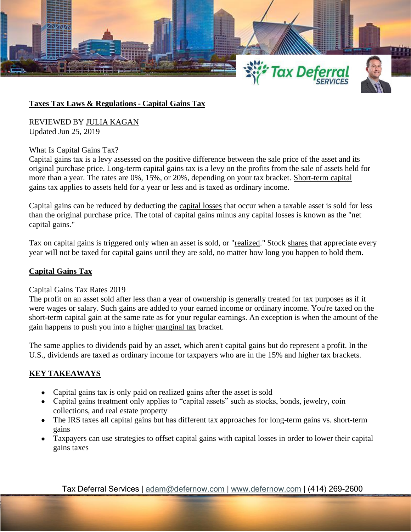

## **Taxes Tax Laws & Regulations - Capital Gains Tax**

REVIEWED BY JULIA [KAGAN](https://www.investopedia.com/contributors/53409/) Updated Jun 25, 2019

What Is Capital Gains Tax?

Capital gains tax is a levy assessed on the positive difference between the sale price of the asset and its original purchase price. Long-term capital gains tax is a levy on the profits from the sale of assets held for more than a year. The rates are 0%, 15%, or 20%, depending on your tax bracket. [Short-term capital](https://www.investopedia.com/terms/s/short-term-gain.asp)  [gains](https://www.investopedia.com/terms/s/short-term-gain.asp) tax applies to assets held for a year or less and is taxed as ordinary income.

Capital gains can be reduced by deducting the [capital losses](https://www.investopedia.com/terms/c/capitalloss.asp) that occur when a taxable asset is sold for less than the original purchase price. The total of capital gains minus any capital losses is known as the "net capital gains."

Tax on capital gains is triggered only when an asset is sold, or ["realized.](https://www.investopedia.com/terms/r/realizedprofit.asp)" Stock [shares](https://www.investopedia.com/terms/s/shares.asp) that appreciate every year will not be taxed for capital gains until they are sold, no matter how long you happen to hold them.

# **Capital Gains Tax**

#### Capital Gains Tax Rates 2019

The profit on an asset sold after less than a year of ownership is generally treated for tax purposes as if it were wages or salary. Such gains are added to your [earned income](https://www.investopedia.com/terms/e/earnedincome.asp) or [ordinary income.](https://www.investopedia.com/terms/o/ordinaryincome.asp) You're taxed on the short-term capital gain at the same rate as for your regular earnings. An exception is when the amount of the gain happens to push you into a higher [marginal tax](https://www.investopedia.com/terms/m/marginaltaxrate.asp) bracket.

The same applies to <u>[dividends](https://www.investopedia.com/terms/d/dividend.asp)</u> paid by an asset, which aren't capital gains but do represent a profit. In the U.S., dividends are taxed as ordinary income for taxpayers who are in the 15% and higher tax brackets.

# **KEY TAKEAWAYS**

- Capital gains tax is only paid on realized gains after the asset is sold
- Capital gains treatment only applies to "capital assets" such as stocks, bonds, jewelry, coin collections, and real estate property
- The IRS taxes all capital gains but has different tax approaches for long-term gains vs. short-term gains
- Taxpayers can use strategies to offset capital gains with capital losses in order to lower their capital gains taxes

Tax Deferral Services | [adam@defernow.com](mailto:adam@defernow.com) | [www.defernow.com](http://www.defernow.com/) | (414) 269-2600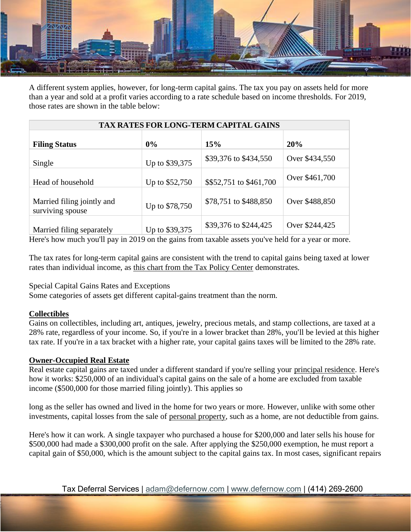

A different system applies, however, for long-term capital gains. The tax you pay on assets held for more than a year and sold at a profit varies according to a rate schedule based on income thresholds. For 2019, those rates are shown in the table below:

| <b>TAX RATES FOR LONG-TERM CAPITAL GAINS</b>   |                |                         |                |
|------------------------------------------------|----------------|-------------------------|----------------|
| <b>Filing Status</b>                           | $0\%$          | 15%                     | 20%            |
| Single                                         | Up to \$39,375 | \$39,376 to \$434,550   | Over \$434,550 |
| Head of household                              | Up to \$52,750 | \$\$52,751 to \$461,700 | Over \$461,700 |
| Married filing jointly and<br>surviving spouse | Up to \$78,750 | \$78,751 to \$488,850   | Over \$488,850 |
| Married filing separately                      | Up to \$39,375 | \$39,376 to \$244,425   | Over \$244,425 |

Here's how much you'll pay in 2019 on the gains from taxable assets you've held for a year or more.

The tax rates for long-term capital gains are consistent with the trend to capital gains being taxed at lower rates than individual income, as [this chart from the Tax Policy Center](https://www.taxpolicycenter.org/briefing-book/how-are-capital-gains-taxed) demonstrates.

Special Capital Gains Rates and Exceptions

Some categories of assets get different capital-gains treatment than the norm.

# **Collectibles**

Gains on collectibles, including art, antiques, jewelry, precious metals, and stamp collections, are taxed at a 28% rate, regardless of your income. So, if you're in a lower bracket than 28%, you'll be levied at this higher tax rate. If you're in a tax bracket with a higher rate, your capital gains taxes will be limited to the 28% rate.

# **Owner-Occupied Real Estate**

Real estate capital gains are taxed under a different standard if you're selling your [principal residence.](https://www.investopedia.com/terms/p/principalresidence.asp) Here's how it works: \$250,000 of an individual's capital gains on the sale of a home are excluded from taxable income (\$500,000 for those married filing jointly). This applies so

long as the seller has owned and lived in the home for two years or more. However, unlike with some other investments, capital losses from the sale of [personal property,](https://www.investopedia.com/terms/p/personalproperty.asp) such as a home, are not deductible from gains.

Here's how it can work. A single taxpayer who purchased a house for \$200,000 and later sells his house for \$500,000 had made a \$300,000 profit on the sale. After applying the \$250,000 exemption, he must report a capital gain of \$50,000, which is the amount subject to the capital gains tax. In most cases, significant repairs

Tax Deferral Services | [adam@defernow.com](mailto:adam@defernow.com) | [www.defernow.com](http://www.defernow.com/) | (414) 269-2600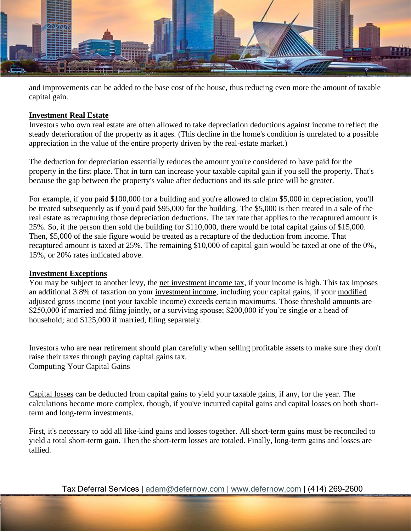

and improvements can be added to the base cost of the house, thus reducing even more the amount of taxable capital gain.

## **Investment Real Estate**

Investors who own real estate are often allowed to take depreciation deductions against income to reflect the steady deterioration of the property as it ages. (This decline in the home's condition is unrelated to a possible appreciation in the value of the entire property driven by the real-estate market.)

The deduction for depreciation essentially reduces the amount you're considered to have paid for the property in the first place. That in turn can increase your taxable capital gain if you sell the property. That's because the gap between the property's value after deductions and its sale price will be greater.

For example, if you paid \$100,000 for a building and you're allowed to claim \$5,000 in depreciation, you'll be treated subsequently as if you'd paid \$95,000 for the building. The \$5,000 is then treated in a sale of the real estate as [recapturing those depreciation deductions.](https://www.fool.com/taxes/2018/02/12/a-quick-guide-to-your-1099-div-tax-form.aspx) The tax rate that applies to the recaptured amount is 25%. So, if the person then sold the building for \$110,000, there would be total capital gains of \$15,000. Then, \$5,000 of the sale figure would be treated as a recapture of the deduction from income. That recaptured amount is taxed at 25%. The remaining \$10,000 of capital gain would be taxed at one of the 0%, 15%, or 20% rates indicated above.

# **Investment Exceptions**

You may be subject to another levy, the [net investment income tax,](https://www.irs.gov/newsroom/questions-and-answers-on-the-net-investment-income-tax) if your income is high. This tax imposes an additional 3.8% of taxation on your [investment income,](https://www.investopedia.com/ask/answers/032715/what-difference-between-capital-gains-and-investment-income.asp) including your capital gains, if your [modified](https://www.investopedia.com/terms/m/magi.asp)  [adjusted gross income](https://www.investopedia.com/terms/m/magi.asp) (not your taxable income) exceeds certain maximums. Those threshold amounts are \$250,000 if married and filing jointly, or a surviving spouse; \$200,000 if you're single or a head of household; and \$125,000 if married, filing separately.

Investors who are near retirement should plan carefully when selling profitable assets to make sure they don't raise their taxes through paying capital gains tax. Computing Your Capital Gains

[Capital losses](https://www.investopedia.com/terms/c/capitalloss.asp) can be deducted from capital gains to yield your taxable gains, if any, for the year. The calculations become more complex, though, if you've incurred capital gains and capital losses on both shortterm and long-term investments.

First, it's necessary to add all like-kind gains and losses together. All short-term gains must be reconciled to yield a total short-term gain. Then the short-term losses are totaled. Finally, long-term gains and losses are tallied.

Tax Deferral Services | [adam@defernow.com](mailto:adam@defernow.com) | [www.defernow.com](http://www.defernow.com/) | (414) 269-2600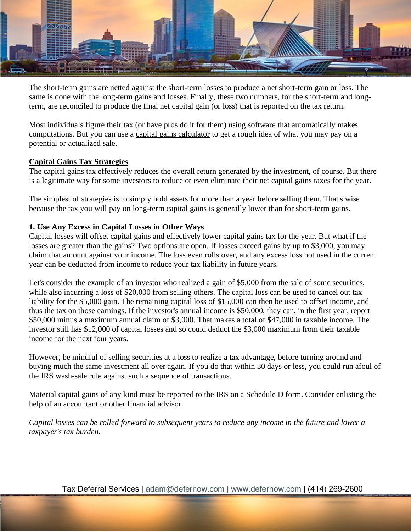

The short-term gains are netted against the short-term losses to produce a net short-term gain or loss. The same is done with the long-term gains and losses. Finally, these two numbers, for the short-term and longterm, are reconciled to produce the final net capital gain (or loss) that is reported on the tax return.

Most individuals figure their tax (or have pros do it for them) using software that automatically makes computations. But you can use a [capital gains calculator](https://www.calcxml.com/calculators/inc06) to get a rough idea of what you may pay on a potential or actualized sale.

## **Capital Gains Tax Strategies**

The capital gains tax effectively reduces the overall return generated by the investment, of course. But there is a legitimate way for some investors to reduce or even eliminate their net capital gains taxes for the year.

The simplest of strategies is to simply hold assets for more than a year before selling them. That's wise because the tax you will pay on long-term [capital gains is generally lower than for short-term gains.](https://www.investopedia.com/articles/personal-finance/101515/comparing-longterm-vs-shortterm-capital-gain-tax-rates.asp)

# **1. Use Any Excess in Capital Losses in Other Ways**

Capital losses will offset capital gains and effectively lower capital gains tax for the year. But what if the losses are greater than the gains? Two options are open. If losses exceed gains by up to \$3,000, you may claim that amount against your income. The loss even rolls over, and any excess loss not used in the current year can be deducted from income to reduce your [tax liability](https://www.investopedia.com/terms/t/taxliability.asp) in future years.

Let's consider the example of an investor who realized a gain of \$5,000 from the sale of some securities, while also incurring a loss of \$20,000 from selling others. The capital loss can be used to cancel out tax liability for the \$5,000 gain. The remaining capital loss of \$15,000 can then be used to offset income, and thus the tax on those earnings. If the investor's annual income is \$50,000, they can, in the first year, report \$50,000 minus a maximum annual claim of \$3,000. That makes a total of \$47,000 in taxable income. The investor still has \$12,000 of capital losses and so could deduct the \$3,000 maximum from their taxable income for the next four years.

However, be mindful of selling securities at a loss to realize a tax advantage, before turning around and buying much the same investment all over again. If you do that within 30 days or less, you could run afoul of the IRS [wash-sale rule](https://www.investopedia.com/terms/w/washsalerule.asp) against such a sequence of transactions.

Material capital gains of any kind [must be reported](https://www.investopedia.com/ask/answers/081514/when-would-i-have-fill-out-schedule-d-irs-form.asp) to the IRS on a [Schedule D form.](https://www.investopedia.com/terms/s/scheduled.asp) Consider enlisting the help of an accountant or other financial advisor.

*Capital losses can be rolled forward to subsequent years to reduce any income in the future and lower a taxpayer's tax burden.*